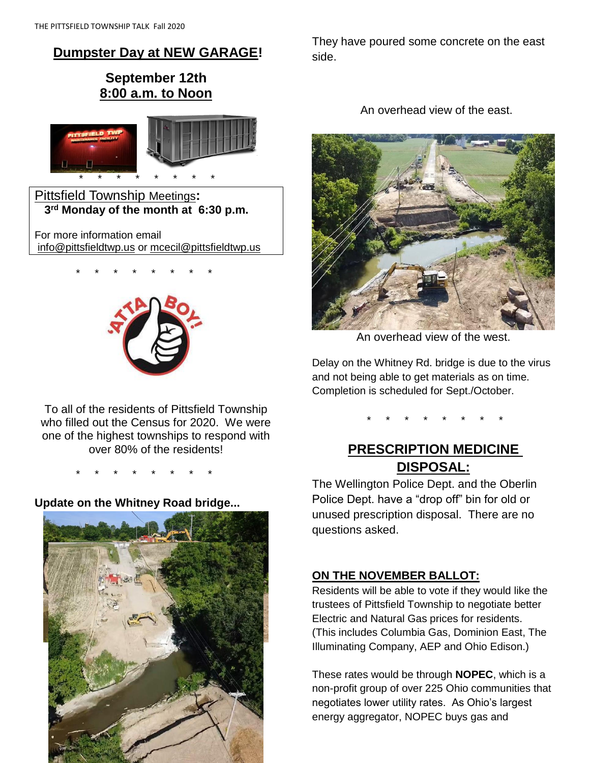# **Dumpster Day at NEW GARAGE!**

# **September 12th 8:00 a.m. to Noon**



Pittsfield Township Meetings**: 3 rd Monday of the month at 6:30 p.m.**

For more information email [info@pittsfieldtwp.us](mailto:info@pittsfieldtwp.u) or [mcecil@pittsfieldtwp.us](mailto:tdiedrick@pittsfieldtwp.us)

\* \* \* \* \* \* \* \*



To all of the residents of Pittsfield Township who filled out the Census for 2020. We were one of the highest townships to respond with over 80% of the residents!

\* \* \* \* \* \* \* \*

# **Update on the Whitney Road bridge...**



They have poured some concrete on the east side.

An overhead view of the east.



An overhead view of the west.

Delay on the Whitney Rd. bridge is due to the virus and not being able to get materials as on time. Completion is scheduled for Sept./October.

\* \* \* \* \* \* \* \*

# **PRESCRIPTION MEDICINE DISPOSAL:**

The Wellington Police Dept. and the Oberlin Police Dept. have a "drop off" bin for old or unused prescription disposal. There are no questions asked.

# **ON THE NOVEMBER BALLOT:**

Residents will be able to vote if they would like the trustees of Pittsfield Township to negotiate better Electric and Natural Gas prices for residents. (This includes Columbia Gas, Dominion East, The Illuminating Company, AEP and Ohio Edison.)

These rates would be through **NOPEC**, which is a non-profit group of over 225 Ohio communities that negotiates lower utility rates. As Ohio's largest energy aggregator, NOPEC buys gas and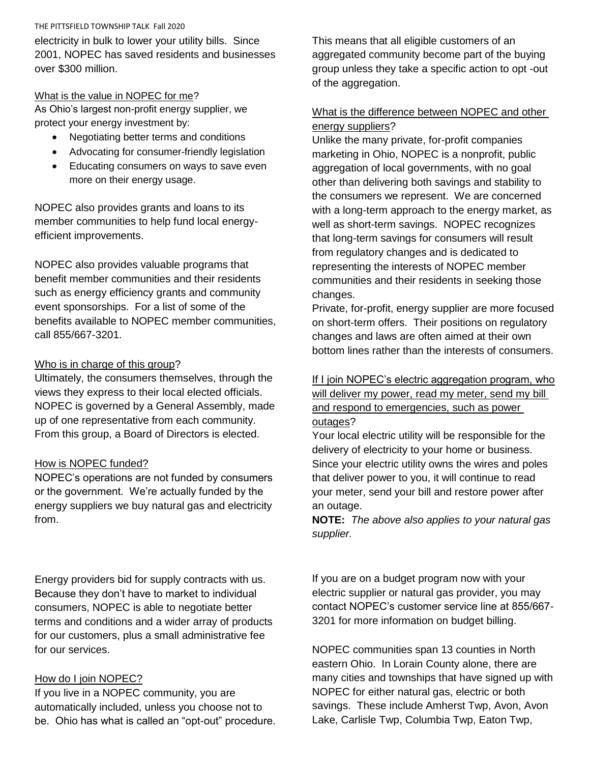#### THE PITTSFIELD TOWNSHIP TALK Fall 2020

electricity in bulk to lower your utility bills. Since 2001, NOPEC has saved residents and businesses over \$300 million.

#### What is the value in NOPEC for me?

As Ohio's largest non-profit energy supplier, we protect your energy investment by:

- Negotiating better terms and conditions
- Advocating for consumer-friendly legislation
- **Educating consumers on ways to save even** more on their energy usage.

NOPEC also provides grants and loans to its member communities to help fund local energyefficient improvements.

NOPEC also provides valuable programs that benefit member communities and their residents such as energy efficiency grants and community event sponsorships. For a list of some of the benefits available to NOPEC member communities, call 855/667-3201.

# Who is in charge of this group?

Ultimately, the consumers themselves, through the views they express to their local elected officials. NOPEC is governed by a General Assembly, made up of one representative from each community. From this group, a Board of Directors is elected.

# How is NOPEC funded?

NOPEC's operations are not funded by consumers or the government. We're actually funded by the energy suppliers we buy natural gas and electricity from.

Energy providers bid for supply contracts with us. Because they don't have to market to individual consumers, NOPEC is able to negotiate better terms and conditions and a wider array of products for our customers, plus a small administrative fee for our services.

# How do I join NOPEC?

If you live in a NOPEC community, you are automatically included, unless you choose not to be. Ohio has what is called an "opt-out" procedure. This means that all eligible customers of an aggregated community become part of the buying group unless they take a specific action to opt -out of the aggregation.

### What is the difference between NOPEC and other energy suppliers?

Unlike the many private, for-profit companies marketing in Ohio, NOPEC is a nonprofit, public aggregation of local governments, with no goal other than delivering both savings and stability to the consumers we represent. We are concerned with a long-term approach to the energy market, as well as short-term savings. NOPEC recognizes that long-term savings for consumers will result from regulatory changes and is dedicated to representing the interests of NOPEC member communities and their residents in seeking those changes.

Private, for-profit, energy supplier are more focused on short-term offers. Their positions on regulatory changes and laws are often aimed at their own bottom lines rather than the interests of consumers.

If I join NOPEC's electric aggregation program, who will deliver my power, read my meter, send my bill and respond to emergencies, such as power outages?

Your local electric utility will be responsible for the delivery of electricity to your home or business. Since your electric utility owns the wires and poles that deliver power to you, it will continue to read your meter, send your bill and restore power after an outage.

**NOTE:** *The above also applies to your natural gas supplier.*

If you are on a budget program now with your electric supplier or natural gas provider, you may contact NOPEC's customer service line at 855/667- 3201 for more information on budget billing.

NOPEC communities span 13 counties in North eastern Ohio. In Lorain County alone, there are many cities and townships that have signed up with NOPEC for either natural gas, electric or both savings. These include Amherst Twp, Avon, Avon Lake, Carlisle Twp, Columbia Twp, Eaton Twp,